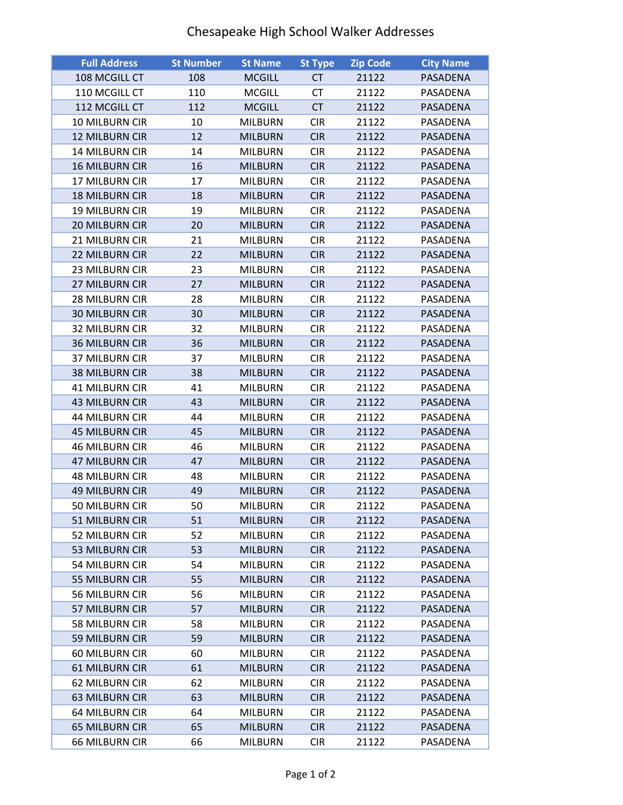## Chesapeake High School Walker Addresses

| <b>Full Address</b>   | <b>St Number</b> | <b>St Name</b> | <b>St Type</b> | <b>Zip Code</b> | <b>City Name</b> |
|-----------------------|------------------|----------------|----------------|-----------------|------------------|
| 108 MCGILL CT         | 108              | <b>MCGILL</b>  | <b>CT</b>      | 21122           | PASADENA         |
| 110 MCGILL CT         | 110              | MCGILL         | СT             | 21122           | PASADENA         |
| 112 MCGILL CT         | 112              | <b>MCGILL</b>  | <b>CT</b>      | 21122           | PASADENA         |
| 10 MILBURN CIR        | 10               | <b>MILBURN</b> | <b>CIR</b>     | 21122           | PASADENA         |
| <b>12 MILBURN CIR</b> | 12               | <b>MILBURN</b> | <b>CIR</b>     | 21122           | PASADENA         |
| 14 MILBURN CIR        | 14               | <b>MILBURN</b> | <b>CIR</b>     | 21122           | PASADENA         |
| <b>16 MILBURN CIR</b> | 16               | <b>MILBURN</b> | <b>CIR</b>     | 21122           | PASADENA         |
| 17 MILBURN CIR        | 17               | <b>MILBURN</b> | <b>CIR</b>     | 21122           | PASADENA         |
| <b>18 MILBURN CIR</b> | 18               | <b>MILBURN</b> | <b>CIR</b>     | 21122           | PASADENA         |
| 19 MILBURN CIR        | 19               | <b>MILBURN</b> | <b>CIR</b>     | 21122           | PASADENA         |
| 20 MILBURN CIR        | 20               | <b>MILBURN</b> | <b>CIR</b>     | 21122           | PASADENA         |
| 21 MILBURN CIR        | 21               | <b>MILBURN</b> | <b>CIR</b>     | 21122           | PASADENA         |
| 22 MILBURN CIR        | 22               | <b>MILBURN</b> | <b>CIR</b>     | 21122           | PASADENA         |
| 23 MILBURN CIR        | 23               | <b>MILBURN</b> | <b>CIR</b>     | 21122           | PASADENA         |
| 27 MILBURN CIR        | 27               | <b>MILBURN</b> | <b>CIR</b>     | 21122           | PASADENA         |
| 28 MILBURN CIR        | 28               | <b>MILBURN</b> | <b>CIR</b>     | 21122           | PASADENA         |
| <b>30 MILBURN CIR</b> | 30               | <b>MILBURN</b> | <b>CIR</b>     | 21122           | PASADENA         |
| <b>32 MILBURN CIR</b> | 32               | <b>MILBURN</b> | <b>CIR</b>     | 21122           | PASADENA         |
| <b>36 MILBURN CIR</b> | 36               | <b>MILBURN</b> | <b>CIR</b>     | 21122           | PASADENA         |
| 37 MILBURN CIR        | 37               | <b>MILBURN</b> | <b>CIR</b>     | 21122           | PASADENA         |
| <b>38 MILBURN CIR</b> | 38               | <b>MILBURN</b> | <b>CIR</b>     | 21122           | PASADENA         |
| <b>41 MILBURN CIR</b> | 41               | <b>MILBURN</b> | <b>CIR</b>     | 21122           | PASADENA         |
| <b>43 MILBURN CIR</b> | 43               | <b>MILBURN</b> | <b>CIR</b>     | 21122           | PASADENA         |
| <b>44 MILBURN CIR</b> | 44               | <b>MILBURN</b> | <b>CIR</b>     | 21122           | PASADENA         |
| <b>45 MILBURN CIR</b> | 45               | <b>MILBURN</b> | <b>CIR</b>     | 21122           | PASADENA         |
| <b>46 MILBURN CIR</b> | 46               | <b>MILBURN</b> | <b>CIR</b>     | 21122           | PASADENA         |
| <b>47 MILBURN CIR</b> | 47               | <b>MILBURN</b> | <b>CIR</b>     | 21122           | PASADENA         |
| <b>48 MILBURN CIR</b> | 48               | <b>MILBURN</b> | <b>CIR</b>     | 21122           | PASADENA         |
| <b>49 MILBURN CIR</b> | 49               | <b>MILBURN</b> | <b>CIR</b>     | 21122           | PASADENA         |
| 50 MILBURN CIR        | 50               | <b>MILBURN</b> | <b>CIR</b>     | 21122           | PASADENA         |
| 51 MILBURN CIR        | 51               | <b>MILBURN</b> | <b>CIR</b>     | 21122           | PASADENA         |
| 52 MILBURN CIR        | 52               | <b>MILBURN</b> | <b>CIR</b>     | 21122           | PASADENA         |
| 53 MILBURN CIR        | 53               | <b>MILBURN</b> | <b>CIR</b>     | 21122           | PASADENA         |
| 54 MILBURN CIR        | 54               | <b>MILBURN</b> | <b>CIR</b>     | 21122           | PASADENA         |
| 55 MILBURN CIR        | 55               | <b>MILBURN</b> | <b>CIR</b>     | 21122           | PASADENA         |
| 56 MILBURN CIR        | 56               | <b>MILBURN</b> | <b>CIR</b>     | 21122           | PASADENA         |
| 57 MILBURN CIR        | 57               | <b>MILBURN</b> | <b>CIR</b>     | 21122           | PASADENA         |
| 58 MILBURN CIR        | 58               | <b>MILBURN</b> | <b>CIR</b>     | 21122           | PASADENA         |
| 59 MILBURN CIR        | 59               | <b>MILBURN</b> | <b>CIR</b>     | 21122           | <b>PASADENA</b>  |
| 60 MILBURN CIR        | 60               | <b>MILBURN</b> | <b>CIR</b>     | 21122           | PASADENA         |
| <b>61 MILBURN CIR</b> | 61               | <b>MILBURN</b> | <b>CIR</b>     | 21122           | PASADENA         |
| 62 MILBURN CIR        | 62               | <b>MILBURN</b> | <b>CIR</b>     | 21122           | PASADENA         |
| <b>63 MILBURN CIR</b> | 63               | <b>MILBURN</b> | <b>CIR</b>     | 21122           | PASADENA         |
| <b>64 MILBURN CIR</b> | 64               | <b>MILBURN</b> | <b>CIR</b>     | 21122           | PASADENA         |
| <b>65 MILBURN CIR</b> | 65               | <b>MILBURN</b> | <b>CIR</b>     | 21122           | PASADENA         |
| 66 MILBURN CIR        | 66               | <b>MILBURN</b> | <b>CIR</b>     | 21122           | PASADENA         |